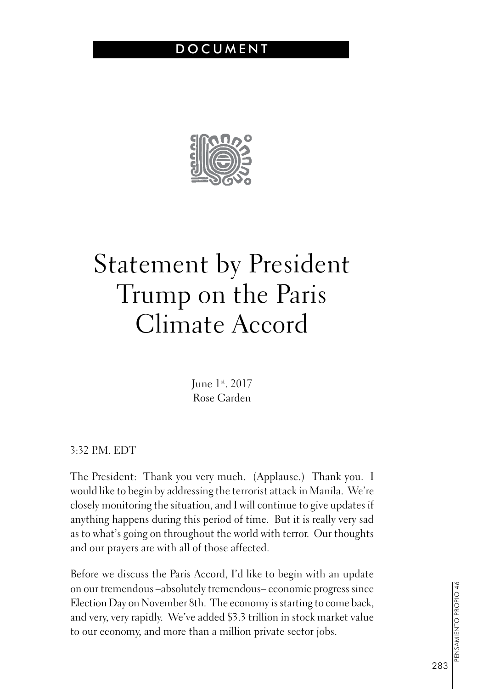## DOCUMENT



## Statement by President Trump on the Paris Climate Accord

June 1st. 2017 Rose Garden

3:32 P.M. EDT

The President: Thank you very much. (Applause.) Thank you. I would like to begin by addressing the terrorist attack in Manila. We're closely monitoring the situation, and I will continue to give updates if anything happens during this period of time. But it is really very sad as to what's going on throughout the world with terror. Our thoughts and our prayers are with all of those affected.

Before we discuss the Paris Accord, I'd like to begin with an update on our tremendous –absolutely tremendous– economic progress since Election Day on November 8th. The economy is starting to come back, and very, very rapidly. We've added \$3.3 trillion in stock market value to our economy, and more than a million private sector jobs.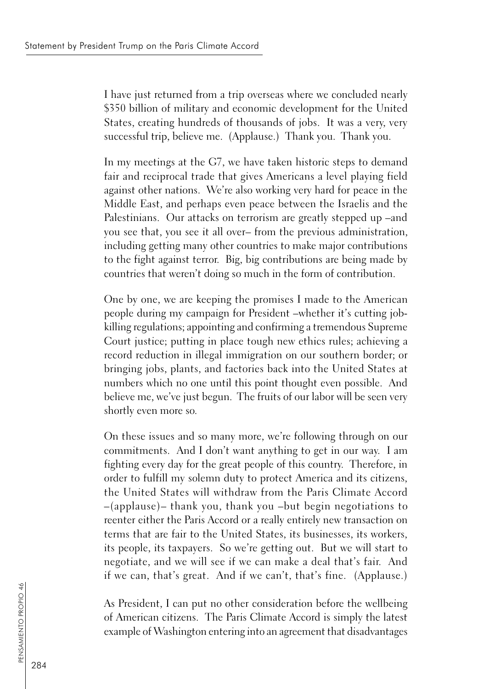I have just returned from a trip overseas where we concluded nearly \$350 billion of military and economic development for the United States, creating hundreds of thousands of jobs. It was a very, very successful trip, believe me. (Applause.) Thank you. Thank you.

In my meetings at the G7, we have taken historic steps to demand fair and reciprocal trade that gives Americans a level playing field against other nations. We're also working very hard for peace in the Middle East, and perhaps even peace between the Israelis and the Palestinians. Our attacks on terrorism are greatly stepped up –and you see that, you see it all over– from the previous administration, including getting many other countries to make major contributions to the fight against terror. Big, big contributions are being made by countries that weren't doing so much in the form of contribution.

One by one, we are keeping the promises I made to the American people during my campaign for President –whether it's cutting jobkilling regulations; appointing and confirming a tremendous Supreme Court justice; putting in place tough new ethics rules; achieving a record reduction in illegal immigration on our southern border; or bringing jobs, plants, and factories back into the United States at numbers which no one until this point thought even possible. And believe me, we've just begun. The fruits of our labor will be seen very shortly even more so.

On these issues and so many more, we're following through on our commitments. And I don't want anything to get in our way. I am fighting every day for the great people of this country. Therefore, in order to fulfill my solemn duty to protect America and its citizens, the United States will withdraw from the Paris Climate Accord –(applause)– thank you, thank you –but begin negotiations to reenter either the Paris Accord or a really entirely new transaction on terms that are fair to the United States, its businesses, its workers, its people, its taxpayers. So we're getting out. But we will start to negotiate, and we will see if we can make a deal that's fair. And if we can, that's great. And if we can't, that's fine. (Applause.)

As President, I can put no other consideration before the wellbeing of American citizens. The Paris Climate Accord is simply the latest example of Washington entering into an agreement that disadvantages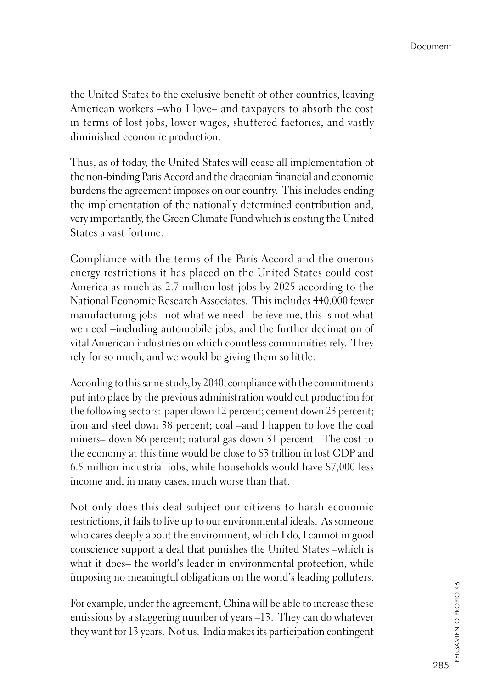the United States to the exclusive benefit of other countries, leaving American workers –who I love– and taxpayers to absorb the cost in terms of lost jobs, lower wages, shuttered factories, and vastly diminished economic production.

Thus, as of today, the United States will cease all implementation of the non-binding Paris Accord and the draconian financial and economic burdens the agreement imposes on our country. This includes ending the implementation of the nationally determined contribution and, very importantly, the Green Climate Fund which is costing the United States a vast fortune.

Compliance with the terms of the Paris Accord and the onerous energy restrictions it has placed on the United States could cost America as much as 2.7 million lost jobs by 2025 according to the National Economic Research Associates. This includes 440,000 fewer manufacturing jobs –not what we need– believe me, this is not what we need –including automobile jobs, and the further decimation of vital American industries on which countless communities rely. They rely for so much, and we would be giving them so little.

According to this same study, by 2040, compliance with the commitments put into place by the previous administration would cut production for the following sectors: paper down 12 percent; cement down 23 percent; iron and steel down 38 percent; coal –and I happen to love the coal miners– down 86 percent; natural gas down 31 percent. The cost to the economy at this time would be close to \$3 trillion in lost GDP and 6.5 million industrial jobs, while households would have \$7,000 less income and, in many cases, much worse than that.

Not only does this deal subject our citizens to harsh economic restrictions, it fails to live up to our environmental ideals. As someone who cares deeply about the environment, which I do, I cannot in good conscience support a deal that punishes the United States –which is what it does– the world's leader in environmental protection, while imposing no meaningful obligations on the world's leading polluters.

For example, under the agreement, China will be able to increase these emissions by a staggering number of years –13. They can do whatever they want for 13 years. Not us. India makes its participation contingent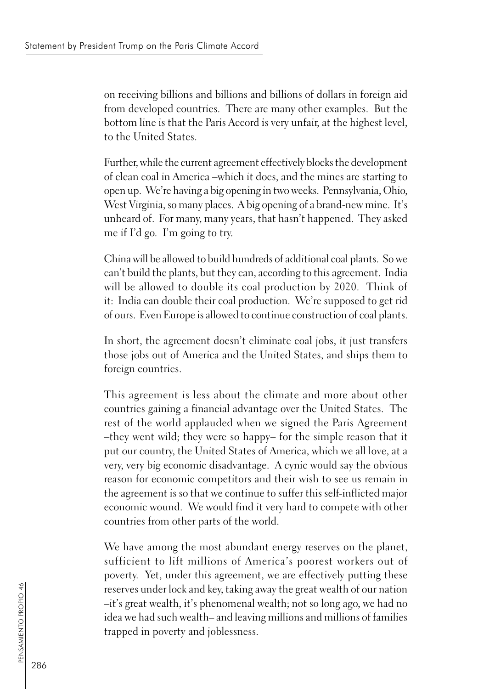on receiving billions and billions and billions of dollars in foreign aid from developed countries. There are many other examples. But the bottom line is that the Paris Accord is very unfair, at the highest level, to the United States.

Further, while the current agreement effectively blocks the development of clean coal in America –which it does, and the mines are starting to open up. We're having a big opening in two weeks. Pennsylvania, Ohio, West Virginia, so many places. A big opening of a brand-new mine. It's unheard of. For many, many years, that hasn't happened. They asked me if I'd go. I'm going to try.

China will be allowed to build hundreds of additional coal plants. So we can't build the plants, but they can, according to this agreement. India will be allowed to double its coal production by 2020. Think of it: India can double their coal production. We're supposed to get rid of ours. Even Europe is allowed to continue construction of coal plants.

In short, the agreement doesn't eliminate coal jobs, it just transfers those jobs out of America and the United States, and ships them to foreign countries.

This agreement is less about the climate and more about other countries gaining a financial advantage over the United States. The rest of the world applauded when we signed the Paris Agreement –they went wild; they were so happy– for the simple reason that it put our country, the United States of America, which we all love, at a very, very big economic disadvantage. A cynic would say the obvious reason for economic competitors and their wish to see us remain in the agreement is so that we continue to suffer this self-inflicted major economic wound. We would find it very hard to compete with other countries from other parts of the world.

We have among the most abundant energy reserves on the planet, sufficient to lift millions of America's poorest workers out of poverty. Yet, under this agreement, we are effectively putting these reserves under lock and key, taking away the great wealth of our nation –it's great wealth, it's phenomenal wealth; not so long ago, we had no idea we had such wealth– and leaving millions and millions of families trapped in poverty and joblessness.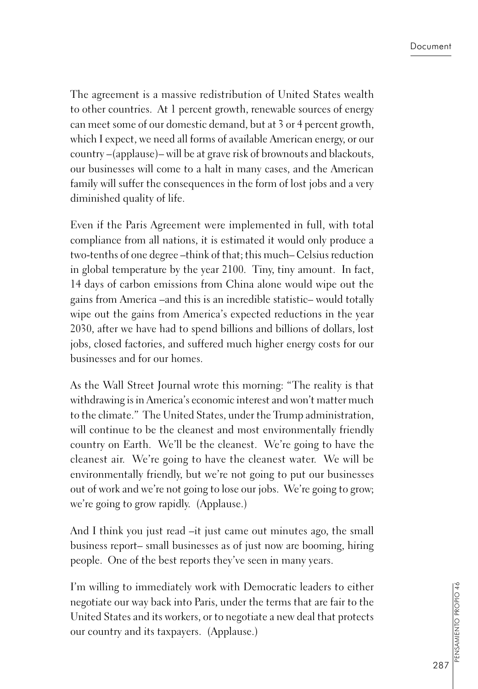The agreement is a massive redistribution of United States wealth to other countries. At 1 percent growth, renewable sources of energy can meet some of our domestic demand, but at 3 or 4 percent growth, which I expect, we need all forms of available American energy, or our country –(applause)– will be at grave risk of brownouts and blackouts, our businesses will come to a halt in many cases, and the American family will suffer the consequences in the form of lost jobs and a very diminished quality of life.

Even if the Paris Agreement were implemented in full, with total compliance from all nations, it is estimated it would only produce a two-tenths of one degree –think of that; this much– Celsius reduction in global temperature by the year 2100. Tiny, tiny amount. In fact, 14 days of carbon emissions from China alone would wipe out the gains from America –and this is an incredible statistic– would totally wipe out the gains from America's expected reductions in the year 2030, after we have had to spend billions and billions of dollars, lost jobs, closed factories, and suffered much higher energy costs for our businesses and for our homes.

As the Wall Street Journal wrote this morning: "The reality is that withdrawing is in America's economic interest and won't matter much to the climate." The United States, under the Trump administration, will continue to be the cleanest and most environmentally friendly country on Earth. We'll be the cleanest. We're going to have the cleanest air. We're going to have the cleanest water. We will be environmentally friendly, but we're not going to put our businesses out of work and we're not going to lose our jobs. We're going to grow; we're going to grow rapidly. (Applause.)

And I think you just read –it just came out minutes ago, the small business report– small businesses as of just now are booming, hiring people. One of the best reports they've seen in many years.

I'm willing to immediately work with Democratic leaders to either negotiate our way back into Paris, under the terms that are fair to the United States and its workers, or to negotiate a new deal that protects our country and its taxpayers. (Applause.)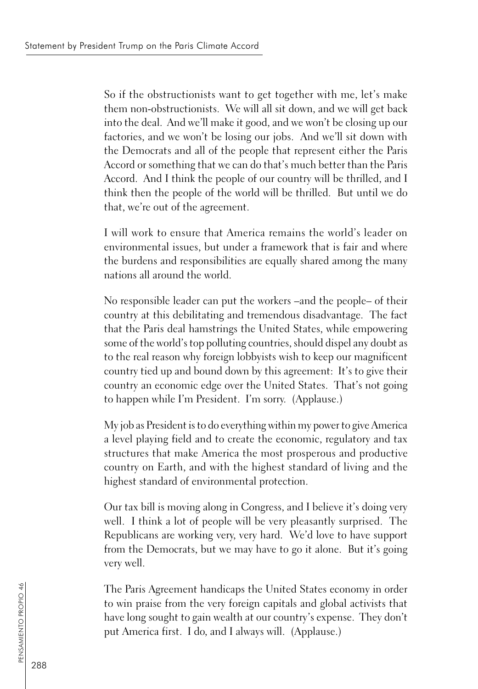So if the obstructionists want to get together with me, let's make them non-obstructionists. We will all sit down, and we will get back into the deal. And we'll make it good, and we won't be closing up our factories, and we won't be losing our jobs. And we'll sit down with the Democrats and all of the people that represent either the Paris Accord or something that we can do that's much better than the Paris Accord. And I think the people of our country will be thrilled, and I think then the people of the world will be thrilled. But until we do that, we're out of the agreement.

I will work to ensure that America remains the world's leader on environmental issues, but under a framework that is fair and where the burdens and responsibilities are equally shared among the many nations all around the world.

No responsible leader can put the workers –and the people– of their country at this debilitating and tremendous disadvantage. The fact that the Paris deal hamstrings the United States, while empowering some of the world's top polluting countries, should dispel any doubt as to the real reason why foreign lobbyists wish to keep our magnificent country tied up and bound down by this agreement: It's to give their country an economic edge over the United States. That's not going to happen while I'm President. I'm sorry. (Applause.)

My job as President is to do everything within my power to give America a level playing field and to create the economic, regulatory and tax structures that make America the most prosperous and productive country on Earth, and with the highest standard of living and the highest standard of environmental protection.

Our tax bill is moving along in Congress, and I believe it's doing very well. I think a lot of people will be very pleasantly surprised. The Republicans are working very, very hard. We'd love to have support from the Democrats, but we may have to go it alone. But it's going very well.

The Paris Agreement handicaps the United States economy in order to win praise from the very foreign capitals and global activists that have long sought to gain wealth at our country's expense. They don't put America first. I do, and I always will. (Applause.)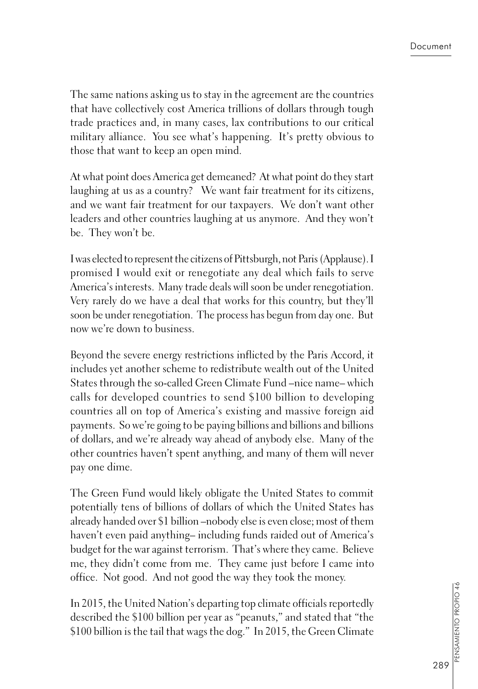The same nations asking us to stay in the agreement are the countries that have collectively cost America trillions of dollars through tough trade practices and, in many cases, lax contributions to our critical military alliance. You see what's happening. It's pretty obvious to those that want to keep an open mind.

At what point does America get demeaned? At what point do they start laughing at us as a country? We want fair treatment for its citizens, and we want fair treatment for our taxpayers. We don't want other leaders and other countries laughing at us anymore. And they won't be. They won't be.

I was elected to represent the citizens of Pittsburgh, not Paris(Applause).I promised I would exit or renegotiate any deal which fails to serve America's interests. Many trade deals will soon be under renegotiation. Very rarely do we have a deal that works for this country, but they'll soon be under renegotiation. The process has begun from day one. But now we're down to business.

Beyond the severe energy restrictions inflicted by the Paris Accord, it includes yet another scheme to redistribute wealth out of the United States through the so-called Green Climate Fund –nice name– which calls for developed countries to send \$100 billion to developing countries all on top of America's existing and massive foreign aid payments. So we're going to be paying billions and billions and billions of dollars, and we're already way ahead of anybody else. Many of the other countries haven't spent anything, and many of them will never pay one dime.

The Green Fund would likely obligate the United States to commit potentially tens of billions of dollars of which the United States has already handed over \$1 billion –nobody else is even close; most of them haven't even paid anything– including funds raided out of America's budget for the war against terrorism. That's where they came. Believe me, they didn't come from me. They came just before I came into office. Not good. And not good the way they took the money.

In 2015, the United Nation's departing top climate officials reportedly described the \$100 billion per year as "peanuts," and stated that "the \$100 billion is the tail that wags the dog." In 2015, the Green Climate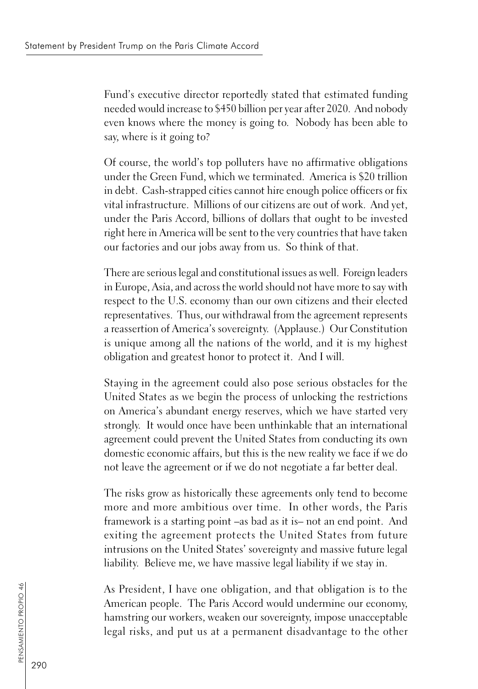Fund's executive director reportedly stated that estimated funding needed would increase to \$450 billion per year after 2020. And nobody even knows where the money is going to. Nobody has been able to say, where is it going to?

Of course, the world's top polluters have no affirmative obligations under the Green Fund, which we terminated. America is \$20 trillion in debt. Cash-strapped cities cannot hire enough police officers or fix vital infrastructure. Millions of our citizens are out of work. And yet, under the Paris Accord, billions of dollars that ought to be invested right here in America will be sent to the very countries that have taken our factories and our jobs away from us. So think of that.

There are serious legal and constitutional issues as well. Foreign leaders in Europe, Asia, and across the world should not have more to say with respect to the U.S. economy than our own citizens and their elected representatives. Thus, our withdrawal from the agreement represents a reassertion of America's sovereignty. (Applause.) Our Constitution is unique among all the nations of the world, and it is my highest obligation and greatest honor to protect it. And I will.

Staying in the agreement could also pose serious obstacles for the United States as we begin the process of unlocking the restrictions on America's abundant energy reserves, which we have started very strongly. It would once have been unthinkable that an international agreement could prevent the United States from conducting its own domestic economic affairs, but this is the new reality we face if we do not leave the agreement or if we do not negotiate a far better deal.

The risks grow as historically these agreements only tend to become more and more ambitious over time. In other words, the Paris framework is a starting point –as bad as it is– not an end point. And exiting the agreement protects the United States from future intrusions on the United States' sovereignty and massive future legal liability. Believe me, we have massive legal liability if we stay in.

As President, I have one obligation, and that obligation is to the American people. The Paris Accord would undermine our economy, hamstring our workers, weaken our sovereignty, impose unacceptable legal risks, and put us at a permanent disadvantage to the other